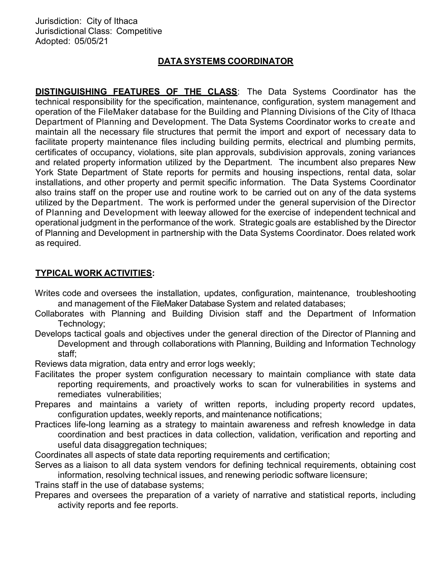## DATA SYSTEMS COORDINATOR

**DISTINGUISHING FEATURES OF THE CLASS:** The Data Systems Coordinator has the technical responsibility for the specification, maintenance, configuration, system management and operation of the FileMaker database for the Building and Planning Divisions of the City of Ithaca Department of Planning and Development. The Data Systems Coordinator works to create and maintain all the necessary file structures that permit the import and export of necessary data to facilitate property maintenance files including building permits, electrical and plumbing permits, certificates of occupancy, violations, site plan approvals, subdivision approvals, zoning variances and related property information utilized by the Department. The incumbent also prepares New York State Department of State reports for permits and housing inspections, rental data, solar installations, and other property and permit specific information. The Data Systems Coordinator also trains staff on the proper use and routine work to be carried out on any of the data systems utilized by the Department. The work is performed under the general supervision of the Director of Planning and Development with leeway allowed for the exercise of independent technical and operational judgment in the performance of the work. Strategic goals are established by the Director of Planning and Development in partnership with the Data Systems Coordinator. Does related work as required.

## TYPICAL WORK ACTIVITIES:

- Writes code and oversees the installation, updates, configuration, maintenance, troubleshooting and management of the FileMaker Database System and related databases;
- Collaborates with Planning and Building Division staff and the Department of Information Technology;
- Develops tactical goals and objectives under the general direction of the Director of Planning and Development and through collaborations with Planning, Building and Information Technology staff;

Reviews data migration, data entry and error logs weekly;

- Facilitates the proper system configuration necessary to maintain compliance with state data reporting requirements, and proactively works to scan for vulnerabilities in systems and remediates vulnerabilities;
- Prepares and maintains a variety of written reports, including property record updates, configuration updates, weekly reports, and maintenance notifications;
- Practices life-long learning as a strategy to maintain awareness and refresh knowledge in data coordination and best practices in data collection, validation, verification and reporting and useful data disaggregation techniques;

Coordinates all aspects of state data reporting requirements and certification;

Serves as a liaison to all data system vendors for defining technical requirements, obtaining cost information, resolving technical issues, and renewing periodic software licensure;

Trains staff in the use of database systems;

Prepares and oversees the preparation of a variety of narrative and statistical reports, including activity reports and fee reports.